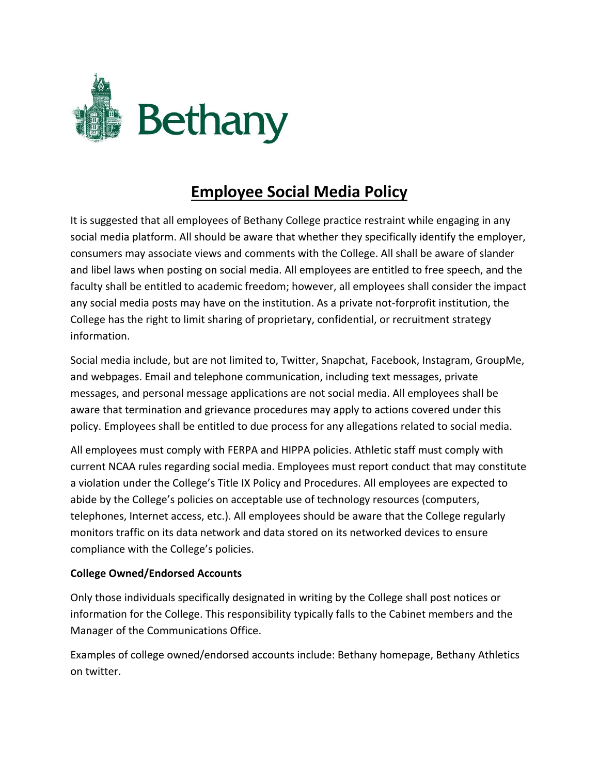

## **Employee Social Media Policy**

It is suggested that all employees of Bethany College practice restraint while engaging in any social media platform. All should be aware that whether they specifically identify the employer, consumers may associate views and comments with the College. All shall be aware of slander and libel laws when posting on social media. All employees are entitled to free speech, and the faculty shall be entitled to academic freedom; however, all employees shall consider the impact any social media posts may have on the institution. As a private not-forprofit institution, the College has the right to limit sharing of proprietary, confidential, or recruitment strategy information.

Social media include, but are not limited to, Twitter, Snapchat, Facebook, Instagram, GroupMe, and webpages. Email and telephone communication, including text messages, private messages, and personal message applications are not social media. All employees shall be aware that termination and grievance procedures may apply to actions covered under this policy. Employees shall be entitled to due process for any allegations related to social media.

All employees must comply with FERPA and HIPPA policies. Athletic staff must comply with current NCAA rules regarding social media. Employees must report conduct that may constitute a violation under the College's Title IX Policy and Procedures. All employees are expected to abide by the College's policies on acceptable use of technology resources (computers, telephones, Internet access, etc.). All employees should be aware that the College regularly monitors traffic on its data network and data stored on its networked devices to ensure compliance with the College's policies.

## **College Owned/Endorsed Accounts**

Only those individuals specifically designated in writing by the College shall post notices or information for the College. This responsibility typically falls to the Cabinet members and the Manager of the Communications Office.

Examples of college owned/endorsed accounts include: Bethany homepage, Bethany Athletics on twitter.